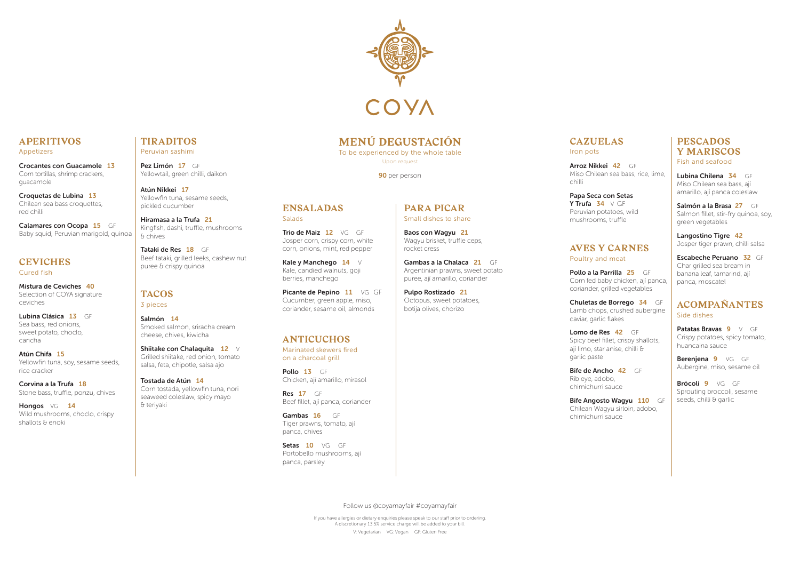# **APERITIVOS**

Appetizers

Crocantes con Guacamole 13 Corn tortillas, shrimp crackers, guacamole

Calamares con Ocopa 15 GF Baby squid, Peruvian marigold, quinoa

Croquetas de Lubina 13 Chilean sea bass croquettes, red chilli

#### **CEVICHES** Cured fish

Mistura de Ceviches 40 Selection of COYA signature ceviches

Hongos VG 14 Wild mushrooms, choclo, crispy shallots & enoki

Pez Limón 17 GF Yellowtail, green chilli, daikon

Lubina Clásica 13 GF Sea bass, red onions, sweet potato, choclo, cancha

Atún Chifa 15 Yellowfin tuna, soy, sesame seeds, rice cracker

Tataki de Res 18 GF Beef tataki, grilled leeks, cashew nut puree & crispy quinoa

Corvina a la Trufa 18 Stone bass, truffle, ponzu, chives

Shiitake con Chalaquita 12 V Grilled shiitake, red onion, tomato salsa, feta, chipotle, salsa ajo

# **TIRADITOS**

Peruvian sashimi

Atún Nikkei 17 Yellowfin tuna, sesame seeds, pickled cucumber

> Pollo a la Parrilla 25 GF Corn fed baby chicken, ají panca, coriander, grilled vegetables

# caviar, garlic flakes Lomo de Res 42 GF

Hiramasa a la Trufa 21 Kingfish, dashi, truffle, mushrooms & chives

> Bife de Ancho 42 GF chimichurri sauce

Bife Angosto Wagyu 110 GF Chilean Wagyu sirloin, adobo, chimichurri sauce

#### **TACOS** 3 pieces

Salmón 14 Smoked salmon, sriracha cream cheese, chives, kiwicha

Salmón a la Brasa 27 GF Salmon fillet, stir-fry quinoa, soy, green vegetables

Tostada de Atún 14 Corn tostada, yellowfin tuna, nori seaweed coleslaw, spicy mayo & teriyaki

Patatas Bravas 9 V GF Crispy potatoes, spicy tomato, huancaina sauce

Berenjena 9 VG GF Aubergine, miso, sesame oil

Brócoli 9 VG GF Sprouting broccoli, sesame seeds, chilli & garlic

# **CAZUELAS**

Iron pots

Arroz Nikkei 42 GF Miso Chilean sea bass, rice, lime,

chilli

Trio de Maiz 12 VG GF Josper corn, crispy corn, white corn, onions, mint, red pepper

#### Papa Seca con Setas Y Trufa  $34 \vee$  GF Peruvian potatoes, wild mushrooms, truffle

Kale y Manchego  $14 \quad \forall$ Kale, candied walnuts, goji

## **AVES Y CARNES** Poultry and meat

Picante de Pepino 11 VG GF Cucumber, green apple, miso, coriander, sesame oil, almonds

Pollo 13 GF Chicken, ají amarillo, mirasol

**Res 17** GF Beef fillet, ají panca, coriander

Gambas 16 GF Tiger prawns, tomato, ají panca, chives

Setas 10 VG GF

Chuletas de Borrego 34 GF Lamb chops, crushed aubergine

Spicy beef fillet, crispy shallots, ají limo, star anise, chilli &

garlic paste

Rib eye, adobo,

### **PESCADOS Y MARISCOS** Fish and seafood

Lubina Chilena 34 GF Miso Chilean sea bass, ají amarillo, ají panca coleslaw

Langostino Tigre 42 Josper tiger prawn, chilli salsa

Escabeche Peruano 32 GF Char grilled sea bream in banana leaf, tamarind, ají panca, moscatel

### **ACOMPAÑANTES** Side dishes



# **MENÚ DEGUSTACIÓN**

To be experienced by the whole table Upon request

90 per person

**ENSALADAS**

Salads

berries, manchego

# **ANTICUCHOS**

Marinated skewers fired on a charcoal grill

Portobello mushrooms, ají panca, parsley

### **PARA PICAR** Small dishes to share

Baos con Wagyu 21

Wagyu brisket, truffle ceps, rocket cress

Gambas a la Chalaca 21 GF Argentinian prawns, sweet potato puree, ají amarillo, coriander

Octopus, sweet potatoes,

Pulpo Rostizado 21 botija olives, chorizo

Follow us @coyamayfair #coyamayfair If you have allergies or dietary enquiries please speak to our staff prior to ordering. A discretionary 13.5% service charge will be added to your bill.

V: Vegetarian VG: Vegan GF: Gluten Free